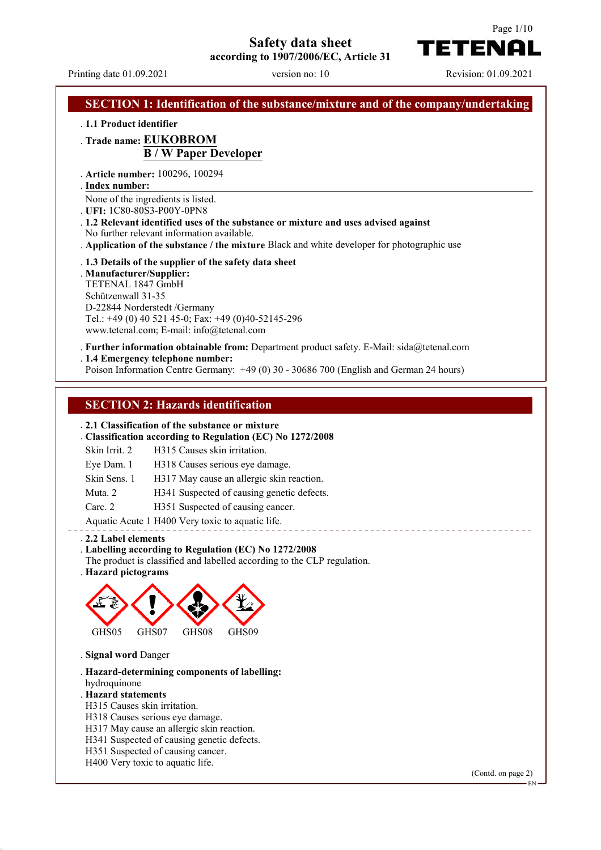## **Safety data sheet**

**according to 1907/2006/EC, Article 31**

Printing date 01.09.2021 version no: 10 Revision: 01.09.2021

TETENA

Page 1/10

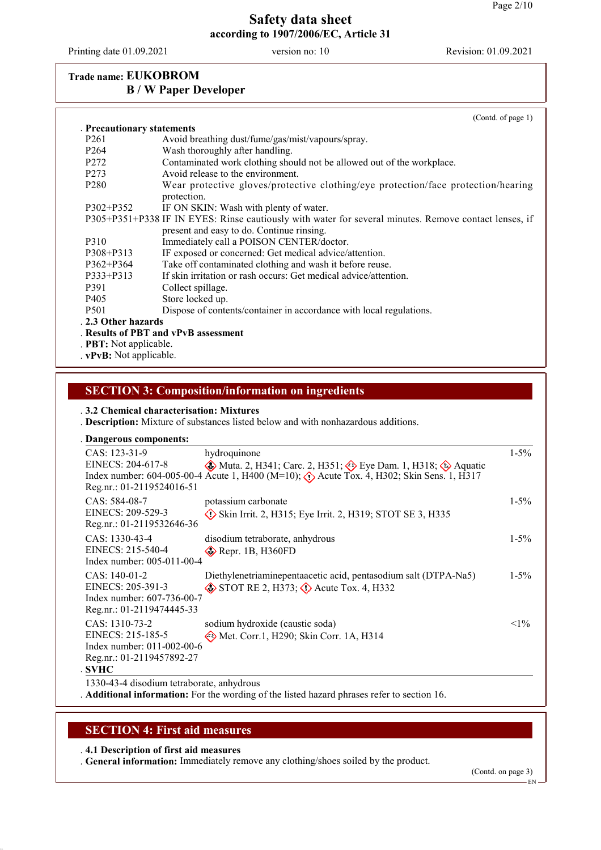Printing date 01.09.2021 version no: 10 Revision: 01.09.2021

## **Trade name: EUKOBROM B / W Paper Developer**

|                                 | (Contd. of page 1)                                                                                    |
|---------------------------------|-------------------------------------------------------------------------------------------------------|
| <b>Precautionary statements</b> |                                                                                                       |
| P <sub>261</sub>                | Avoid breathing dust/fume/gas/mist/vapours/spray.                                                     |
| P <sub>264</sub>                | Wash thoroughly after handling.                                                                       |
| P <sub>272</sub>                | Contaminated work clothing should not be allowed out of the workplace.                                |
| P <sub>273</sub>                | Avoid release to the environment.                                                                     |
| P <sub>280</sub>                | Wear protective gloves/protective clothing/eye protection/face protection/hearing<br>protection.      |
| P302+P352                       | IF ON SKIN: Wash with plenty of water.                                                                |
|                                 | P305+P351+P338 IF IN EYES: Rinse cautiously with water for several minutes. Remove contact lenses, if |
|                                 | present and easy to do. Continue rinsing.                                                             |
| P310                            | Immediately call a POISON CENTER/doctor.                                                              |
| P308+P313                       | IF exposed or concerned: Get medical advice/attention.                                                |
| $P362 + P364$                   | Take off contaminated clothing and wash it before reuse.                                              |
| P333+P313                       | If skin irritation or rash occurs: Get medical advice/attention.                                      |
| P391                            | Collect spillage.                                                                                     |
| P405                            | Store locked up.                                                                                      |
| P <sub>501</sub>                | Dispose of contents/container in accordance with local regulations.                                   |
| . 2.3 Other hazards             |                                                                                                       |
|                                 | Results of PBT and vPvB assessment                                                                    |
| . <b>PBT:</b> Not applicable.   |                                                                                                       |
| DD. Matamaliaakka               |                                                                                                       |

. **vPvB:** Not applicable.

## **SECTION 3: Composition/information on ingredients**

. **3.2 Chemical characterisation: Mixtures**

. **Description:** Mixture of substances listed below and with nonhazardous additions.

| Dangerous components:                                                                                           |                                                                                                                                                                                                                                      |           |
|-----------------------------------------------------------------------------------------------------------------|--------------------------------------------------------------------------------------------------------------------------------------------------------------------------------------------------------------------------------------|-----------|
| CAS: 123-31-9<br>EINECS: 204-617-8<br>Reg.nr.: 01-2119524016-51                                                 | hydroquinone<br>$\circledast$ Muta. 2, H341; Carc. 2, H351; $\circledast$ Eye Dam. 1, H318; $\circledast$ Aquatic<br>Index number: 604-005-00-4 Acute 1, H400 (M=10); $\langle \cdot \rangle$ Acute Tox. 4, H302; Skin Sens. 1, H317 | $1 - 5\%$ |
| $CAS: 584-08-7$<br>EINECS: 209-529-3<br>Reg.nr.: 01-2119532646-36                                               | potassium carbonate<br>$\Diamond$ Skin Irrit. 2, H315; Eye Irrit. 2, H319; STOT SE 3, H335                                                                                                                                           | $1 - 5\%$ |
| $CAS: 1330-43-4$<br>EINECS: 215-540-4<br>Index number: 005-011-00-4                                             | disodium tetraborate, anhydrous<br>$\diamond$ Repr. 1B, H360FD                                                                                                                                                                       | $1 - 5\%$ |
| $CAS: 140-01-2$<br>EINECS: 205-391-3<br>Index number: 607-736-00-7<br>Reg.nr.: 01-2119474445-33                 | Diethylenetriaminepentaacetic acid, pentasodium salt (DTPA-Na5)<br>$\diamond$ STOT RE 2, H373; $\diamond$ Acute Tox. 4, H332                                                                                                         | $1 - 5\%$ |
| $CAS: 1310-73-2$<br>EINECS: 215-185-5<br>Index number: 011-002-00-6<br>Reg.nr.: 01-2119457892-27<br><b>SVHC</b> | sodium hydroxide (caustic soda)<br>Met. Corr.1, H290; Skin Corr. 1A, H314                                                                                                                                                            | $<1\%$    |

1330-43-4 disodium tetraborate, anhydrous

. **Additional information:** For the wording of the listed hazard phrases refer to section 16.

#### **SECTION 4: First aid measures**

. **4.1 Description of first aid measures**

. **General information:** Immediately remove any clothing/shoes soiled by the product.

(Contd. on page 3)

EN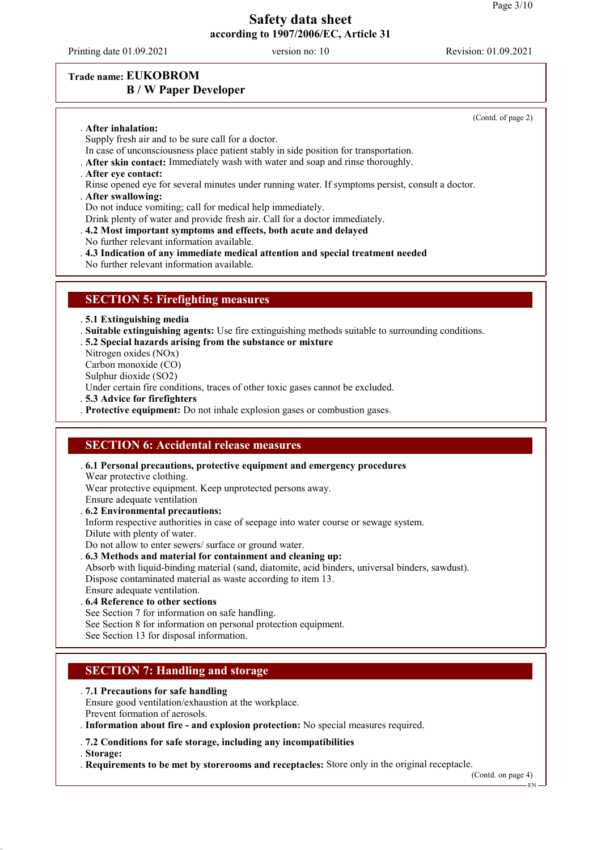Printing date 01.09.2021 version no: 10 Revision: 01.09.2021

(Contd. of page 2)

#### **Trade name: EUKOBROM B / W Paper Developer**

. **After inhalation:**

- Supply fresh air and to be sure call for a doctor.
- In case of unconsciousness place patient stably in side position for transportation.
- . **After skin contact:** Immediately wash with water and soap and rinse thoroughly.
- . **After eye contact:**
- Rinse opened eye for several minutes under running water. If symptoms persist, consult a doctor.
- . **After swallowing:**
- Do not induce vomiting; call for medical help immediately.
- Drink plenty of water and provide fresh air. Call for a doctor immediately.
- . **4.2 Most important symptoms and effects, both acute and delayed**
- No further relevant information available.
- . **4.3 Indication of any immediate medical attention and special treatment needed**
- No further relevant information available.

#### **SECTION 5: Firefighting measures**

. **5.1 Extinguishing media**

- . **Suitable extinguishing agents:** Use fire extinguishing methods suitable to surrounding conditions.
- . **5.2 Special hazards arising from the substance or mixture**
- Nitrogen oxides (NOx)
- Carbon monoxide (CO)
- Sulphur dioxide (SO2)

Under certain fire conditions, traces of other toxic gases cannot be excluded.

. **5.3 Advice for firefighters**

. **Protective equipment:** Do not inhale explosion gases or combustion gases.

#### **SECTION 6: Accidental release measures**

- . **6.1 Personal precautions, protective equipment and emergency procedures** Wear protective clothing. Wear protective equipment. Keep unprotected persons away.
- Ensure adequate ventilation
- . **6.2 Environmental precautions:**
- Inform respective authorities in case of seepage into water course or sewage system.
- Dilute with plenty of water.

Do not allow to enter sewers/ surface or ground water.

- . **6.3 Methods and material for containment and cleaning up:**
- Absorb with liquid-binding material (sand, diatomite, acid binders, universal binders, sawdust). Dispose contaminated material as waste according to item 13.
- Ensure adequate ventilation.
- . **6.4 Reference to other sections**
- See Section 7 for information on safe handling.
- See Section 8 for information on personal protection equipment.
- See Section 13 for disposal information.

### **SECTION 7: Handling and storage**

#### . **7.1 Precautions for safe handling**

- Ensure good ventilation/exhaustion at the workplace. Prevent formation of aerosols.
- . **Information about fire and explosion protection:** No special measures required.
- . **7.2 Conditions for safe storage, including any incompatibilities**
- . **Storage:**
- . **Requirements to be met by storerooms and receptacles:** Store only in the original receptacle.

(Contd. on page 4)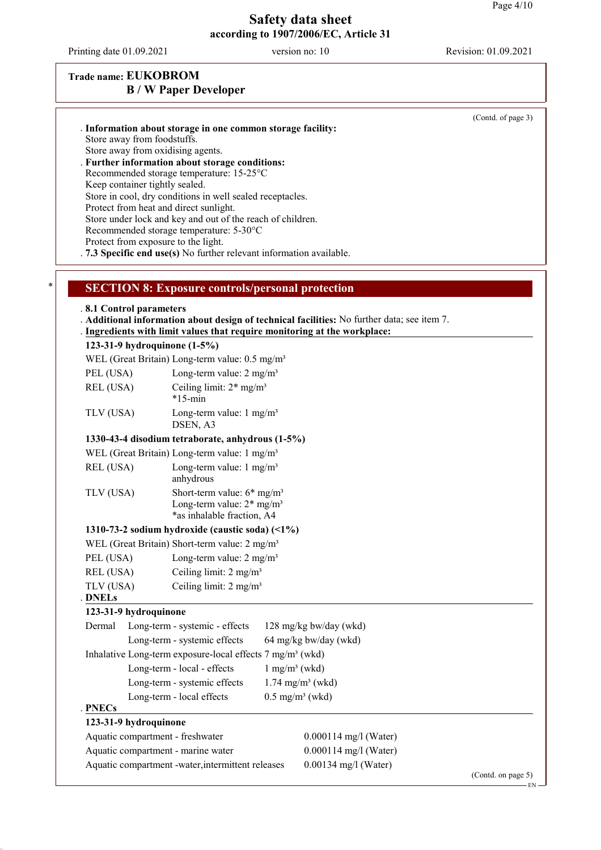Printing date 01.09.2021 version no: 10 Revision: 01.09.2021

## **Trade name: EUKOBROM B / W Paper Developer**

| Store away from foodstuffs.<br>Keep container tightly sealed. | . Information about storage in one common storage facility:<br>Store away from oxidising agents.<br>. Further information about storage conditions:<br>Recommended storage temperature: 15-25°C<br>Store in cool, dry conditions in well sealed receptacles.<br>Protect from heat and direct sunlight.<br>Store under lock and key and out of the reach of children.<br>Recommended storage temperature: 5-30°C<br>Protect from exposure to the light.<br>7.3 Specific end use(s) No further relevant information available. |                                                                                                                                                                          | (Contd. of page 3) |
|---------------------------------------------------------------|------------------------------------------------------------------------------------------------------------------------------------------------------------------------------------------------------------------------------------------------------------------------------------------------------------------------------------------------------------------------------------------------------------------------------------------------------------------------------------------------------------------------------|--------------------------------------------------------------------------------------------------------------------------------------------------------------------------|--------------------|
| *                                                             | <b>SECTION 8: Exposure controls/personal protection</b>                                                                                                                                                                                                                                                                                                                                                                                                                                                                      |                                                                                                                                                                          |                    |
| .8.1 Control parameters                                       |                                                                                                                                                                                                                                                                                                                                                                                                                                                                                                                              | . Additional information about design of technical facilities: No further data; see item 7.<br>. Ingredients with limit values that require monitoring at the workplace: |                    |
|                                                               | 123-31-9 hydroquinone (1-5%)                                                                                                                                                                                                                                                                                                                                                                                                                                                                                                 |                                                                                                                                                                          |                    |
|                                                               | WEL (Great Britain) Long-term value: 0.5 mg/m <sup>3</sup>                                                                                                                                                                                                                                                                                                                                                                                                                                                                   |                                                                                                                                                                          |                    |
| PEL (USA)                                                     | Long-term value: $2 \text{ mg/m}^3$                                                                                                                                                                                                                                                                                                                                                                                                                                                                                          |                                                                                                                                                                          |                    |
| REL (USA)                                                     | Ceiling limit: $2*$ mg/m <sup>3</sup><br>$*15$ -min                                                                                                                                                                                                                                                                                                                                                                                                                                                                          |                                                                                                                                                                          |                    |
| TLV (USA)                                                     | Long-term value: $1 \text{ mg/m}^3$<br>DSEN, A3                                                                                                                                                                                                                                                                                                                                                                                                                                                                              |                                                                                                                                                                          |                    |
|                                                               | 1330-43-4 disodium tetraborate, anhydrous (1-5%)                                                                                                                                                                                                                                                                                                                                                                                                                                                                             |                                                                                                                                                                          |                    |
|                                                               | WEL (Great Britain) Long-term value: 1 mg/m <sup>3</sup>                                                                                                                                                                                                                                                                                                                                                                                                                                                                     |                                                                                                                                                                          |                    |
| REL (USA)                                                     | Long-term value: $1 \text{ mg/m}^3$<br>anhydrous                                                                                                                                                                                                                                                                                                                                                                                                                                                                             |                                                                                                                                                                          |                    |
| TLV (USA)                                                     | Short-term value: $6*$ mg/m <sup>3</sup><br>Long-term value: $2*$ mg/m <sup>3</sup><br>*as inhalable fraction, A4                                                                                                                                                                                                                                                                                                                                                                                                            |                                                                                                                                                                          |                    |
|                                                               | 1310-73-2 sodium hydroxide (caustic soda) $(1\%)$                                                                                                                                                                                                                                                                                                                                                                                                                                                                            |                                                                                                                                                                          |                    |
|                                                               | WEL (Great Britain) Short-term value: 2 mg/m <sup>3</sup>                                                                                                                                                                                                                                                                                                                                                                                                                                                                    |                                                                                                                                                                          |                    |
| PEL (USA)                                                     | Long-term value: $2 \text{ mg/m}^3$                                                                                                                                                                                                                                                                                                                                                                                                                                                                                          |                                                                                                                                                                          |                    |
| REL (USA)                                                     | Ceiling limit: $2 \text{ mg/m}^3$                                                                                                                                                                                                                                                                                                                                                                                                                                                                                            |                                                                                                                                                                          |                    |
| TLV (USA)<br><b>DNELs</b>                                     | Ceiling limit: 2 mg/m <sup>3</sup>                                                                                                                                                                                                                                                                                                                                                                                                                                                                                           |                                                                                                                                                                          |                    |
| 123-31-9 hydroquinone                                         |                                                                                                                                                                                                                                                                                                                                                                                                                                                                                                                              |                                                                                                                                                                          |                    |
| Dermal                                                        | Long-term - systemic - effects                                                                                                                                                                                                                                                                                                                                                                                                                                                                                               | 128 mg/kg bw/day (wkd)                                                                                                                                                   |                    |
|                                                               | Long-term - systemic effects                                                                                                                                                                                                                                                                                                                                                                                                                                                                                                 | 64 mg/kg bw/day (wkd)                                                                                                                                                    |                    |
|                                                               | Inhalative Long-term exposure-local effects 7 mg/m <sup>3</sup> (wkd)                                                                                                                                                                                                                                                                                                                                                                                                                                                        |                                                                                                                                                                          |                    |
|                                                               | Long-term - local - effects                                                                                                                                                                                                                                                                                                                                                                                                                                                                                                  | $1$ mg/m <sup>3</sup> (wkd)                                                                                                                                              |                    |
|                                                               | Long-term - systemic effects                                                                                                                                                                                                                                                                                                                                                                                                                                                                                                 | $1.74$ mg/m <sup>3</sup> (wkd)                                                                                                                                           |                    |
|                                                               | Long-term - local effects                                                                                                                                                                                                                                                                                                                                                                                                                                                                                                    | $0.5$ mg/m <sup>3</sup> (wkd)                                                                                                                                            |                    |
| <b>PNECs</b>                                                  |                                                                                                                                                                                                                                                                                                                                                                                                                                                                                                                              |                                                                                                                                                                          |                    |
| 123-31-9 hydroquinone                                         |                                                                                                                                                                                                                                                                                                                                                                                                                                                                                                                              |                                                                                                                                                                          |                    |
|                                                               | Aquatic compartment - freshwater                                                                                                                                                                                                                                                                                                                                                                                                                                                                                             | $0.000114$ mg/l (Water)                                                                                                                                                  |                    |
|                                                               | Aquatic compartment - marine water                                                                                                                                                                                                                                                                                                                                                                                                                                                                                           | $0.000114$ mg/l (Water)                                                                                                                                                  |                    |
|                                                               | Aquatic compartment -water, intermittent releases                                                                                                                                                                                                                                                                                                                                                                                                                                                                            | $0.00134$ mg/l (Water)                                                                                                                                                   | (Contd. on page 5) |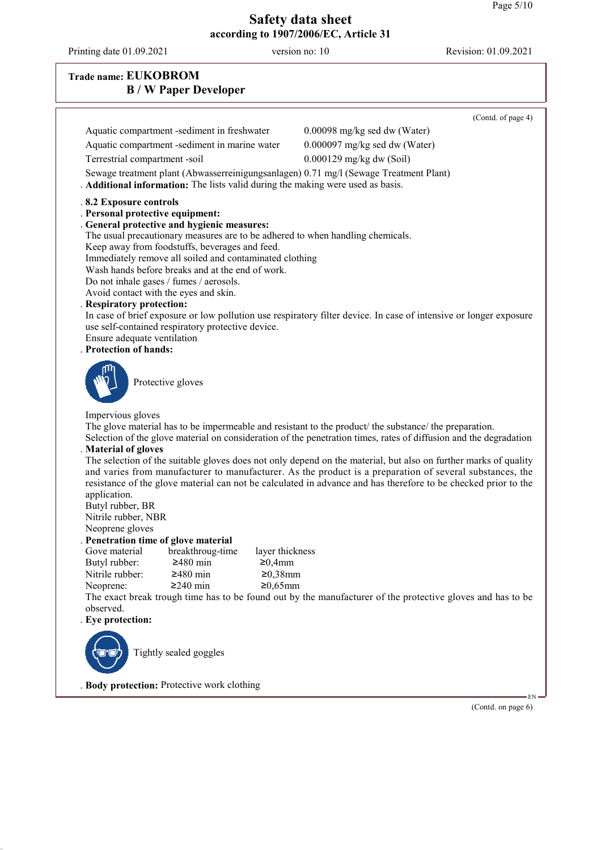Printing date 01.09.2021 version no: 10 Revision: 01.09.2021

| <b>Trade name: EUKOBROM</b><br><b>B</b> / <b>W</b> Paper Developer                                                                                                                                                                                                                                                                                                                                                                                                                                                                                                                          |                                                                                                                                                                                                                                                                                                                                               |  |
|---------------------------------------------------------------------------------------------------------------------------------------------------------------------------------------------------------------------------------------------------------------------------------------------------------------------------------------------------------------------------------------------------------------------------------------------------------------------------------------------------------------------------------------------------------------------------------------------|-----------------------------------------------------------------------------------------------------------------------------------------------------------------------------------------------------------------------------------------------------------------------------------------------------------------------------------------------|--|
|                                                                                                                                                                                                                                                                                                                                                                                                                                                                                                                                                                                             | (Contd. of page 4)                                                                                                                                                                                                                                                                                                                            |  |
| Aquatic compartment -sediment in freshwater                                                                                                                                                                                                                                                                                                                                                                                                                                                                                                                                                 | 0.00098 mg/kg sed dw (Water)                                                                                                                                                                                                                                                                                                                  |  |
| Aquatic compartment -sediment in marine water                                                                                                                                                                                                                                                                                                                                                                                                                                                                                                                                               | 0.000097 mg/kg sed dw (Water)                                                                                                                                                                                                                                                                                                                 |  |
| Terrestrial compartment -soil                                                                                                                                                                                                                                                                                                                                                                                                                                                                                                                                                               | $0.000129$ mg/kg dw (Soil)                                                                                                                                                                                                                                                                                                                    |  |
| Sewage treatment plant (Abwasserreinigungsanlagen) 0.71 mg/l (Sewage Treatment Plant)<br>. Additional information: The lists valid during the making were used as basis.                                                                                                                                                                                                                                                                                                                                                                                                                    |                                                                                                                                                                                                                                                                                                                                               |  |
| .8.2 Exposure controls<br>. Personal protective equipment:<br>. General protective and hygienic measures:<br>The usual precautionary measures are to be adhered to when handling chemicals.<br>Keep away from foodstuffs, beverages and feed.<br>Immediately remove all soiled and contaminated clothing<br>Wash hands before breaks and at the end of work.<br>Do not inhale gases / fumes / aerosols.<br>Avoid contact with the eyes and skin.<br>. Respiratory protection:<br>use self-contained respiratory protective device.<br>Ensure adequate ventilation<br>. Protection of hands: | In case of brief exposure or low pollution use respiratory filter device. In case of intensive or longer exposure                                                                                                                                                                                                                             |  |
| Protective gloves                                                                                                                                                                                                                                                                                                                                                                                                                                                                                                                                                                           |                                                                                                                                                                                                                                                                                                                                               |  |
| Impervious gloves<br>The glove material has to be impermeable and resistant to the product the substance the preparation.                                                                                                                                                                                                                                                                                                                                                                                                                                                                   | Selection of the glove material on consideration of the penetration times, rates of diffusion and the degradation                                                                                                                                                                                                                             |  |
| . Material of gloves<br>application.<br>Butyl rubber, BR<br>Nitrile rubber, NBR                                                                                                                                                                                                                                                                                                                                                                                                                                                                                                             | The selection of the suitable gloves does not only depend on the material, but also on further marks of quality<br>and varies from manufacturer to manufacturer. As the product is a preparation of several substances, the<br>resistance of the glove material can not be calculated in advance and has therefore to be checked prior to the |  |
| Neoprene gloves<br>. Penetration time of glove material                                                                                                                                                                                                                                                                                                                                                                                                                                                                                                                                     |                                                                                                                                                                                                                                                                                                                                               |  |
| Gove material<br>breakthroug-time<br>layer thickness                                                                                                                                                                                                                                                                                                                                                                                                                                                                                                                                        |                                                                                                                                                                                                                                                                                                                                               |  |
| $≥480$ min<br>Butyl rubber:<br>≥0,4mm                                                                                                                                                                                                                                                                                                                                                                                                                                                                                                                                                       |                                                                                                                                                                                                                                                                                                                                               |  |
| Nitrile rubber:<br>$≥480$ min<br>$≥0,38$ mm<br>$≥240$ min<br>$≥0,65mm$<br>Neoprene:                                                                                                                                                                                                                                                                                                                                                                                                                                                                                                         |                                                                                                                                                                                                                                                                                                                                               |  |
|                                                                                                                                                                                                                                                                                                                                                                                                                                                                                                                                                                                             | The exact break trough time has to be found out by the manufacturer of the protective gloves and has to be                                                                                                                                                                                                                                    |  |
| observed.                                                                                                                                                                                                                                                                                                                                                                                                                                                                                                                                                                                   |                                                                                                                                                                                                                                                                                                                                               |  |
| . Eye protection:                                                                                                                                                                                                                                                                                                                                                                                                                                                                                                                                                                           |                                                                                                                                                                                                                                                                                                                                               |  |
| Tightly sealed goggles                                                                                                                                                                                                                                                                                                                                                                                                                                                                                                                                                                      |                                                                                                                                                                                                                                                                                                                                               |  |
| . Body protection: Protective work clothing                                                                                                                                                                                                                                                                                                                                                                                                                                                                                                                                                 |                                                                                                                                                                                                                                                                                                                                               |  |

(Contd. on page 6)

EN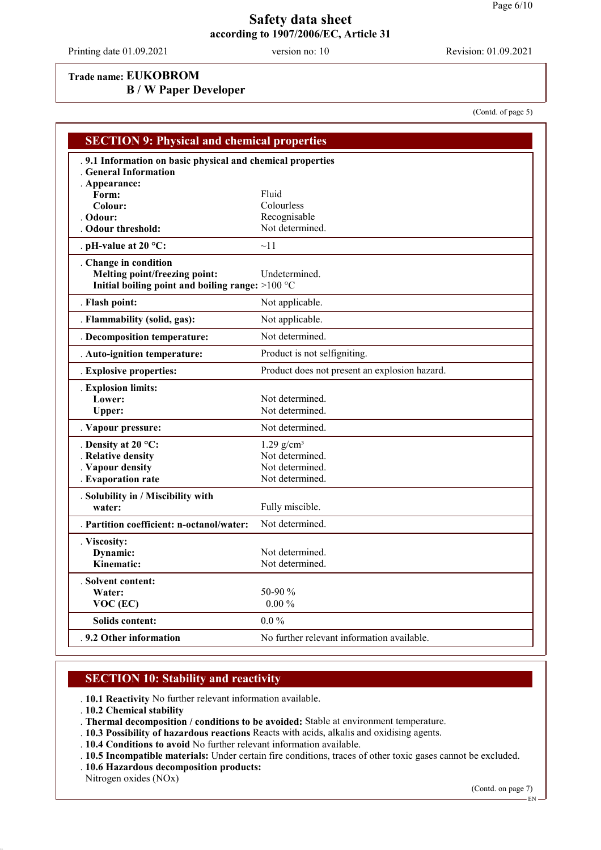Printing date 01.09.2021 version no: 10 Revision: 01.09.2021

(Contd. of page 5)

#### **Trade name: EUKOBROM**

**B / W Paper Developer**

**SECTION 9: Physical and chemical properties** . **9.1 Information on basic physical and chemical properties** . **General Information** . **Appearance: Form:** Fluid Colour: Fluid **Colour:** Colourless<br> **Colour:** Colourless<br> **Colour:** Recognisal Recognisable<br>Not determined. **Odour threshold:** . **pH-value at 20 °C:** ~11 . **Change in condition Melting point/freezing point:** Undetermined. **Initial boiling point and boiling range:** >100 °C . **Flash point:** Not applicable. . **Flammability (solid, gas):** Not applicable. . **Decomposition temperature:** Not determined. . **Auto-ignition temperature:** Product is not selfigniting. . **Explosive properties:** Product does not present an explosion hazard. . **Explosion limits:** Lower: Not determined. Upper: Not determined. . **Vapour pressure:** Not determined. **Density at 20 °C:** 1.29 g/cm<sup>3</sup> **Relative density** Not determined. . **Vapour density** Not determined. . **Evaporation rate** Not determined. . **Solubility in / Miscibility with** water: Fully miscible. . **Partition coefficient: n-octanol/water:** Not determined. . **Viscosity: Dynamic:** Not determined. **Kinematic:** Not determined. . **Solvent content: 50-90 %**<br>0.00 % **VOC (EC) Solids content:** 0.0 % **9.2 Other information** No further relevant information available.

#### **SECTION 10: Stability and reactivity**

. **10.1 Reactivity** No further relevant information available.

- . **10.2 Chemical stability**
- . **Thermal decomposition / conditions to be avoided:** Stable at environment temperature.
- . **10.3 Possibility of hazardous reactions** Reacts with acids, alkalis and oxidising agents.
- . **10.4 Conditions to avoid** No further relevant information available.
- . **10.5 Incompatible materials:** Under certain fire conditions, traces of other toxic gases cannot be excluded.
- . **10.6 Hazardous decomposition products:**

Nitrogen oxides (NOx)

(Contd. on page 7)

EN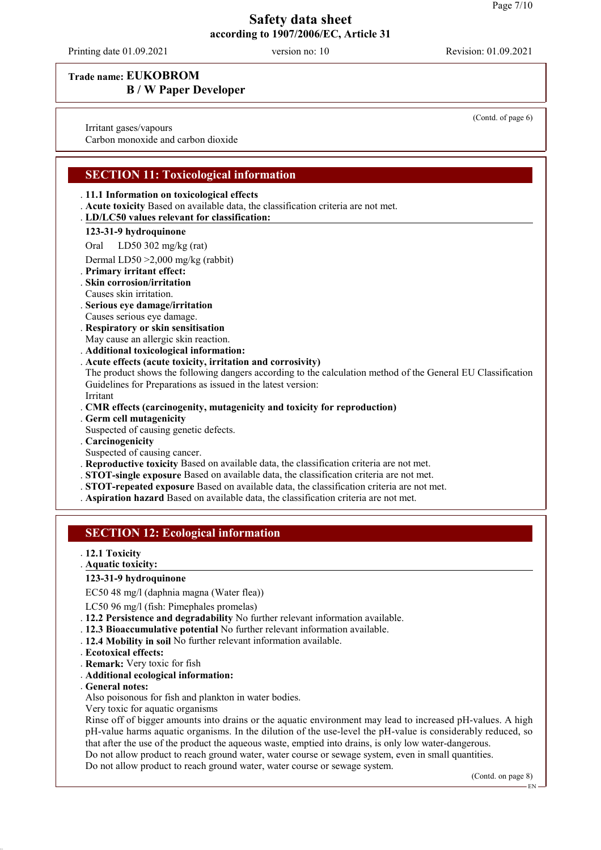Printing date 01.09.2021 version no: 10 Revision: 01.09.2021

**Trade name: EUKOBROM**

## **B / W Paper Developer**

Irritant gases/vapours

Carbon monoxide and carbon dioxide

#### **SECTION 11: Toxicological information**

#### . **11.1 Information on toxicological effects**

- . **Acute toxicity** Based on available data, the classification criteria are not met.
- **LD/LC50 values relevant for classification:** .

#### **123-31-9 hydroquinone**

Oral LD50 302 mg/kg (rat)

- Dermal LD50 >2,000 mg/kg (rabbit)
- . **Primary irritant effect:**
- . **Skin corrosion/irritation**
- Causes skin irritation.
- . **Serious eye damage/irritation** Causes serious eye damage.
- . **Respiratory or skin sensitisation**
- May cause an allergic skin reaction.
- . **Additional toxicological information:**
- . **Acute effects (acute toxicity, irritation and corrosivity)**
- The product shows the following dangers according to the calculation method of the General EU Classification Guidelines for Preparations as issued in the latest version: Irritant
- . **CMR effects (carcinogenity, mutagenicity and toxicity for reproduction)**
- . **Germ cell mutagenicity**
- Suspected of causing genetic defects.
- . **Carcinogenicity**
- Suspected of causing cancer.
- . **Reproductive toxicity** Based on available data, the classification criteria are not met.
- . **STOT-single exposure** Based on available data, the classification criteria are not met.
- . **STOT-repeated exposure** Based on available data, the classification criteria are not met.
- . **Aspiration hazard** Based on available data, the classification criteria are not met.

#### **SECTION 12: Ecological information**

- . **12.1 Toxicity**
- **Aquatic toxicity:** .

#### **123-31-9 hydroquinone**

EC50 48 mg/l (daphnia magna (Water flea))

- LC50 96 mg/l (fish: Pimephales promelas)
- . **12.2 Persistence and degradability** No further relevant information available.
- . **12.3 Bioaccumulative potential** No further relevant information available.
- . **12.4 Mobility in soil** No further relevant information available.
- . **Ecotoxical effects:**
- . **Remark:** Very toxic for fish
- . **Additional ecological information:**
- . **General notes:**
- Also poisonous for fish and plankton in water bodies.
- Very toxic for aquatic organisms

Rinse off of bigger amounts into drains or the aquatic environment may lead to increased pH-values. A high pH-value harms aquatic organisms. In the dilution of the use-level the pH-value is considerably reduced, so that after the use of the product the aqueous waste, emptied into drains, is only low water-dangerous.

Do not allow product to reach ground water, water course or sewage system, even in small quantities.

Do not allow product to reach ground water, water course or sewage system.

(Contd. on page 8)

(Contd. of page 6)

EN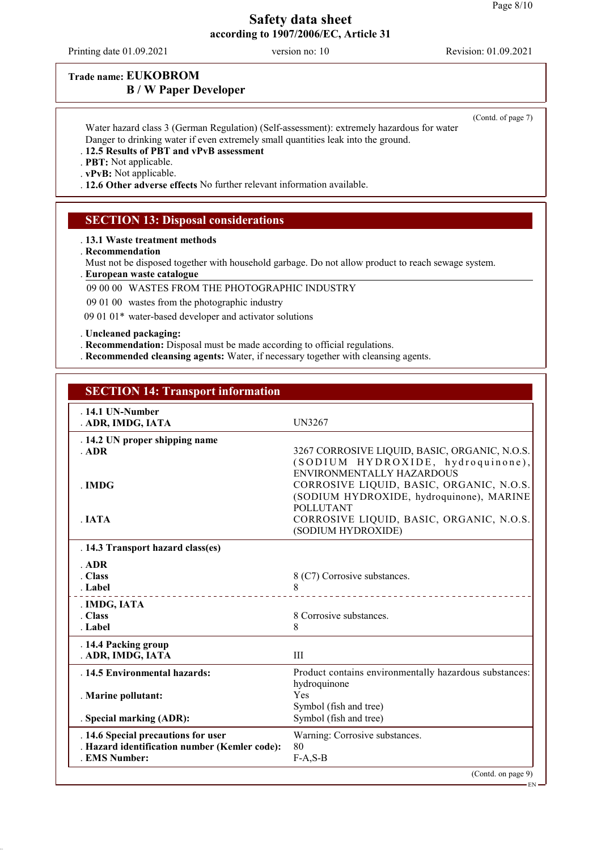Printing date 01.09.2021 version no: 10 Revision: 01.09.2021

### **Trade name: EUKOBROM B / W Paper Developer**

(Contd. of page 7)

Water hazard class 3 (German Regulation) (Self-assessment): extremely hazardous for water Danger to drinking water if even extremely small quantities leak into the ground. . **12.5 Results of PBT and vPvB assessment**

. **PBT:** Not applicable.

. **vPvB:** Not applicable.

. **12.6 Other adverse effects** No further relevant information available.

#### **SECTION 13: Disposal considerations**

. **13.1 Waste treatment methods**

. **Recommendation**

Must not be disposed together with household garbage. Do not allow product to reach sewage system.

**European waste catalogue** .

09 00 00 WASTES FROM THE PHOTOGRAPHIC INDUSTRY

09 01 00 wastes from the photographic industry

09 01 01\* water-based developer and activator solutions

. **Uncleaned packaging:**

. **Recommendation:** Disposal must be made according to official regulations.

. **Recommended cleansing agents:** Water, if necessary together with cleansing agents.

| <b>SECTION 14: Transport information</b> |  |
|------------------------------------------|--|
|------------------------------------------|--|

| .14.1 UN-Number<br>. ADR, IMDG, IATA                                                                       | UN3267                                                                                                                                |
|------------------------------------------------------------------------------------------------------------|---------------------------------------------------------------------------------------------------------------------------------------|
| . 14.2 UN proper shipping name<br>ADR                                                                      | 3267 CORROSIVE LIQUID, BASIC, ORGANIC, N.O.S.<br>(SODIUM HYDROXIDE, hydroquinone),                                                    |
| $\blacksquare$ IMDG                                                                                        | ENVIRONMENTALLY HAZARDOUS<br>CORROSIVE LIQUID, BASIC, ORGANIC, N.O.S.<br>(SODIUM HYDROXIDE, hydroquinone), MARINE<br><b>POLLUTANT</b> |
| . IATA                                                                                                     | CORROSIVE LIQUID, BASIC, ORGANIC, N.O.S.<br>(SODIUM HYDROXIDE)                                                                        |
| . 14.3 Transport hazard class(es)                                                                          |                                                                                                                                       |
| $.$ ADR<br>. Class<br>. Label                                                                              | 8 (C7) Corrosive substances.<br>8<br>----------------------------                                                                     |
| . IMDG, IATA<br>. Class<br>. Label                                                                         | 8 Corrosive substances.<br>8                                                                                                          |
| . 14.4 Packing group<br>. ADR, IMDG, IATA                                                                  | III                                                                                                                                   |
| . 14.5 Environmental hazards:                                                                              | Product contains environmentally hazardous substances:<br>hydroquinone                                                                |
| . Marine pollutant:                                                                                        | Yes<br>Symbol (fish and tree)                                                                                                         |
| . Special marking (ADR):                                                                                   | Symbol (fish and tree)                                                                                                                |
| . 14.6 Special precautions for user<br>. Hazard identification number (Kemler code):<br><b>EMS Number:</b> | Warning: Corrosive substances.<br>80<br>$F-A, S-B$                                                                                    |
|                                                                                                            | (Contd. on page 9)                                                                                                                    |

EN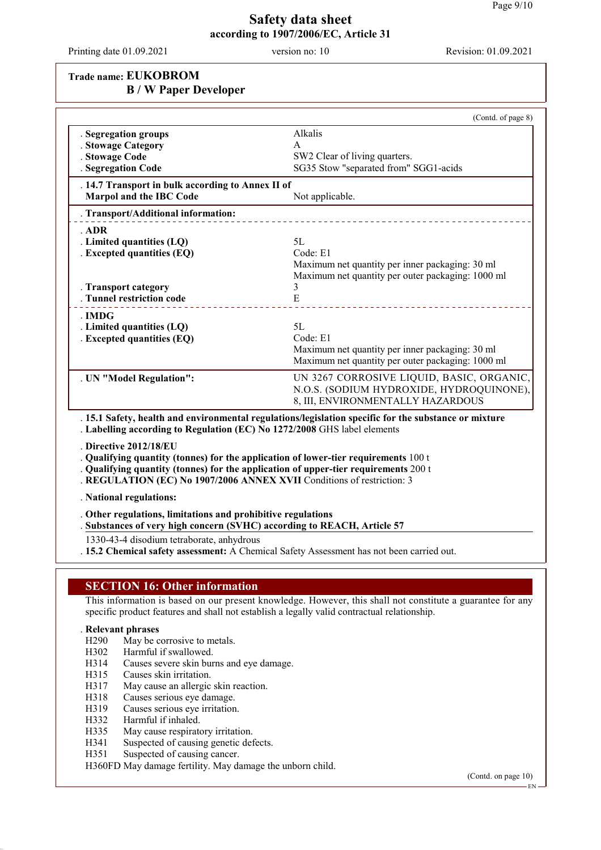Printing date 01.09.2021 version no: 10 Revision: 01.09.2021

## **Trade name: EUKOBROM B / W Paper Developer**

| Alkalis<br>. Segregation groups<br>. Stowage Category<br>A<br>SW2 Clear of living quarters.<br>. Stowage Code<br>SG35 Stow "separated from" SGG1-acids<br>. Segregation Code<br>. 14.7 Transport in bulk according to Annex II of<br><b>Marpol and the IBC Code</b><br>Not applicable.<br>Transport/Additional information:<br>. ADR<br>5L<br>. Limited quantities (LQ)<br>Code: E1<br>. Excepted quantities (EQ)<br>Maximum net quantity per inner packaging: 30 ml<br>3<br>. Transport category<br>E<br>. Tunnel restriction code<br>. IMDG<br>. Limited quantities (LQ)<br>5L<br>Code: E1<br>. Excepted quantities (EQ)<br>Maximum net quantity per inner packaging: 30 ml<br>. UN "Model Regulation":<br>8, III, ENVIRONMENTALLY HAZARDOUS<br>. 15.1 Safety, health and environmental regulations/legislation specific for the substance or mixture<br>. Labelling according to Regulation (EC) No 1272/2008 GHS label elements<br>. Directive 2012/18/EU<br>. Qualifying quantity (tonnes) for the application of lower-tier requirements 100 t<br>. Qualifying quantity (tonnes) for the application of upper-tier requirements 200 t<br>. REGULATION (EC) No 1907/2006 ANNEX XVII Conditions of restriction: 3<br>. National regulations:<br>. Other regulations, limitations and prohibitive regulations<br>. Substances of very high concern (SVHC) according to REACH, Article 57<br>1330-43-4 disodium tetraborate, anhydrous | (Contd. of page 8)                                                                                                                                                                                        |
|------------------------------------------------------------------------------------------------------------------------------------------------------------------------------------------------------------------------------------------------------------------------------------------------------------------------------------------------------------------------------------------------------------------------------------------------------------------------------------------------------------------------------------------------------------------------------------------------------------------------------------------------------------------------------------------------------------------------------------------------------------------------------------------------------------------------------------------------------------------------------------------------------------------------------------------------------------------------------------------------------------------------------------------------------------------------------------------------------------------------------------------------------------------------------------------------------------------------------------------------------------------------------------------------------------------------------------------------------------------------------------------------------------------------------------------|-----------------------------------------------------------------------------------------------------------------------------------------------------------------------------------------------------------|
|                                                                                                                                                                                                                                                                                                                                                                                                                                                                                                                                                                                                                                                                                                                                                                                                                                                                                                                                                                                                                                                                                                                                                                                                                                                                                                                                                                                                                                          |                                                                                                                                                                                                           |
|                                                                                                                                                                                                                                                                                                                                                                                                                                                                                                                                                                                                                                                                                                                                                                                                                                                                                                                                                                                                                                                                                                                                                                                                                                                                                                                                                                                                                                          |                                                                                                                                                                                                           |
|                                                                                                                                                                                                                                                                                                                                                                                                                                                                                                                                                                                                                                                                                                                                                                                                                                                                                                                                                                                                                                                                                                                                                                                                                                                                                                                                                                                                                                          |                                                                                                                                                                                                           |
|                                                                                                                                                                                                                                                                                                                                                                                                                                                                                                                                                                                                                                                                                                                                                                                                                                                                                                                                                                                                                                                                                                                                                                                                                                                                                                                                                                                                                                          | Maximum net quantity per outer packaging: 1000 ml                                                                                                                                                         |
|                                                                                                                                                                                                                                                                                                                                                                                                                                                                                                                                                                                                                                                                                                                                                                                                                                                                                                                                                                                                                                                                                                                                                                                                                                                                                                                                                                                                                                          | Maximum net quantity per outer packaging: 1000 ml                                                                                                                                                         |
|                                                                                                                                                                                                                                                                                                                                                                                                                                                                                                                                                                                                                                                                                                                                                                                                                                                                                                                                                                                                                                                                                                                                                                                                                                                                                                                                                                                                                                          | UN 3267 CORROSIVE LIQUID, BASIC, ORGANIC,<br>N.O.S. (SODIUM HYDROXIDE, HYDROQUINONE),                                                                                                                     |
|                                                                                                                                                                                                                                                                                                                                                                                                                                                                                                                                                                                                                                                                                                                                                                                                                                                                                                                                                                                                                                                                                                                                                                                                                                                                                                                                                                                                                                          |                                                                                                                                                                                                           |
|                                                                                                                                                                                                                                                                                                                                                                                                                                                                                                                                                                                                                                                                                                                                                                                                                                                                                                                                                                                                                                                                                                                                                                                                                                                                                                                                                                                                                                          |                                                                                                                                                                                                           |
|                                                                                                                                                                                                                                                                                                                                                                                                                                                                                                                                                                                                                                                                                                                                                                                                                                                                                                                                                                                                                                                                                                                                                                                                                                                                                                                                                                                                                                          |                                                                                                                                                                                                           |
|                                                                                                                                                                                                                                                                                                                                                                                                                                                                                                                                                                                                                                                                                                                                                                                                                                                                                                                                                                                                                                                                                                                                                                                                                                                                                                                                                                                                                                          |                                                                                                                                                                                                           |
| . 15.2 Chemical safety assessment: A Chemical Safety Assessment has not been carried out.                                                                                                                                                                                                                                                                                                                                                                                                                                                                                                                                                                                                                                                                                                                                                                                                                                                                                                                                                                                                                                                                                                                                                                                                                                                                                                                                                |                                                                                                                                                                                                           |
|                                                                                                                                                                                                                                                                                                                                                                                                                                                                                                                                                                                                                                                                                                                                                                                                                                                                                                                                                                                                                                                                                                                                                                                                                                                                                                                                                                                                                                          | This information is based on our present knowledge. However, this shall not constitute a guarantee for any<br>specific product features and shall not establish a legally valid contractual relationship. |

#### . **Relevant phrases**

- H290 May be corrosive to metals.
- H302 Harmful if swallowed.
- H314 Causes severe skin burns and eye damage.
- H315 Causes skin irritation.
- H317 May cause an allergic skin reaction.
- H318 Causes serious eye damage.
- H319 Causes serious eye irritation.
- H332 Harmful if inhaled.
- H335 May cause respiratory irritation.
- H341 Suspected of causing genetic defects.<br>H351 Suspected of causing cancer.
- Suspected of causing cancer.

H360FD May damage fertility. May damage the unborn child.

(Contd. on page 10)

EN